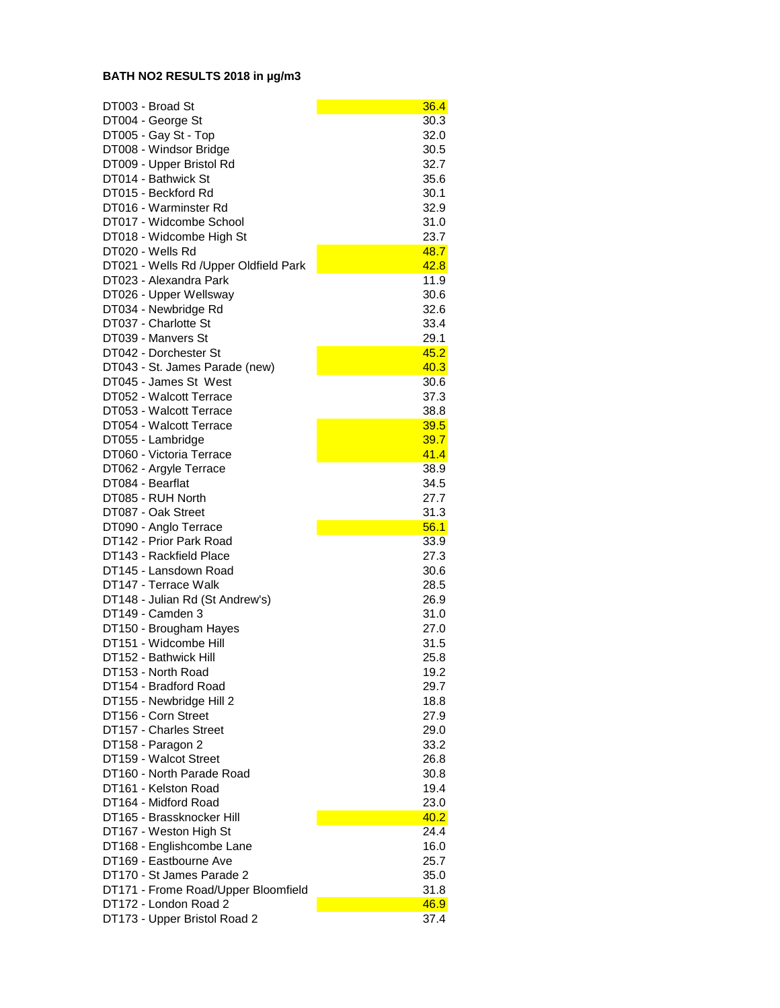## **BATH NO2 RESULTS 2018 in µg/m3**

| DT003 - Broad St                                 | 36.4         |
|--------------------------------------------------|--------------|
| DT004 - George St                                | 30.3         |
| DT005 - Gay St - Top                             | 32.0         |
| DT008 - Windsor Bridge                           | 30.5         |
| DT009 - Upper Bristol Rd                         | 32.7         |
| DT014 - Bathwick St                              | 35.6         |
| DT015 - Beckford Rd                              | 30.1         |
| DT016 - Warminster Rd                            | 32.9         |
| DT017 - Widcombe School                          | 31.0         |
| DT018 - Widcombe High St                         | 23.7         |
| DT020 - Wells Rd                                 | 48.7         |
| DT021 - Wells Rd /Upper Oldfield Park            | 42.8         |
| DT023 - Alexandra Park                           | 11.9         |
| DT026 - Upper Wellsway                           | 30.6         |
| DT034 - Newbridge Rd                             | 32.6         |
| DT037 - Charlotte St                             | 33.4         |
| DT039 - Manyers St                               | 29.1         |
| DT042 - Dorchester St                            | 45.2         |
| DT043 - St. James Parade (new)                   | 40.3         |
| DT045 - James St West                            | 30.6         |
| DT052 - Walcott Terrace                          | 37.3         |
| DT053 - Walcott Terrace                          | 38.8         |
| DT054 - Walcott Terrace                          | 39.5         |
| DT055 - Lambridge                                | 39.7         |
| DT060 - Victoria Terrace                         | 41.4         |
| DT062 - Argyle Terrace                           | 38.9         |
| DT084 - Bearflat                                 | 34.5         |
| DT085 - RUH North                                | 27.7         |
| DT087 - Oak Street                               | 31.3         |
| DT090 - Anglo Terrace<br>DT142 - Prior Park Road | 56.1         |
| DT143 - Rackfield Place                          | 33.9<br>27.3 |
| DT145 - Lansdown Road                            | 30.6         |
| DT147 - Terrace Walk                             | 28.5         |
| DT148 - Julian Rd (St Andrew's)                  | 26.9         |
| DT149 - Camden 3                                 | 31.0         |
| DT150 - Brougham Hayes                           | 27.0         |
| DT151 - Widcombe Hill                            | 31.5         |
| DT152 - Bathwick Hill                            | 25.8         |
| DT153 - North Road                               | 19.2         |
| DT154 - Bradford Road                            | 29.7         |
| DT155 - Newbridge Hill 2                         | 18.8         |
| DT156 - Corn Street                              | 27.9         |
| DT157 - Charles Street                           | 29.0         |
| DT158 - Paragon 2                                | 33.2         |
| DT159 - Walcot Street                            | 26.8         |
| DT160 - North Parade Road                        | 30.8         |
| DT161 - Kelston Road                             | 19.4         |
| DT164 - Midford Road                             | 23.0         |
| DT165 - Brassknocker Hill                        | 40.2         |
| DT167 - Weston High St                           | 24.4         |
| DT168 - Englishcombe Lane                        | 16.0         |
| DT169 - Eastbourne Ave                           | 25.7         |
| DT170 - St James Parade 2                        | 35.0         |
| DT171 - Frome Road/Upper Bloomfield              | 31.8         |
| DT172 - London Road 2                            | 46.9         |
| DT173 - Upper Bristol Road 2                     | 37.4         |
|                                                  |              |